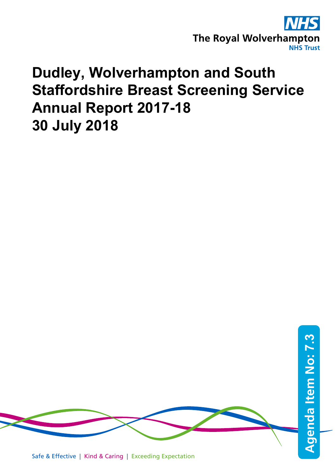

# **Dudley, Wolverhampton and South Staffordshire Breast Screening Service Annual Report 2017-18 30 July 2018**



Safe & Effective | Kind & Caring | Exceeding Expectation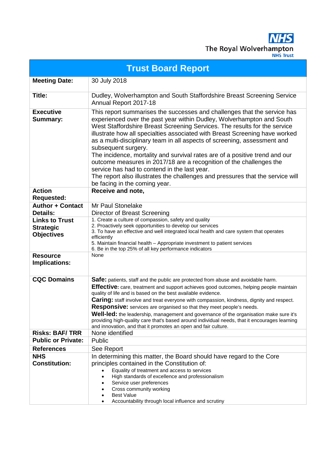

|                                                                | <b>Trust Board Report</b>                                                                                                                                                                                                                                                                                                                                                                                                                                                                                                                                                                                                                                                                                                                 |
|----------------------------------------------------------------|-------------------------------------------------------------------------------------------------------------------------------------------------------------------------------------------------------------------------------------------------------------------------------------------------------------------------------------------------------------------------------------------------------------------------------------------------------------------------------------------------------------------------------------------------------------------------------------------------------------------------------------------------------------------------------------------------------------------------------------------|
| <b>Meeting Date:</b>                                           | 30 July 2018                                                                                                                                                                                                                                                                                                                                                                                                                                                                                                                                                                                                                                                                                                                              |
| Title:                                                         | Dudley, Wolverhampton and South Staffordshire Breast Screening Service<br>Annual Report 2017-18                                                                                                                                                                                                                                                                                                                                                                                                                                                                                                                                                                                                                                           |
| <b>Executive</b><br><b>Summary:</b>                            | This report summarises the successes and challenges that the service has<br>experienced over the past year within Dudley, Wolverhampton and South<br>West Staffordshire Breast Screening Services. The results for the service<br>illustrate how all specialties associated with Breast Screening have worked<br>as a multi-disciplinary team in all aspects of screening, assessment and<br>subsequent surgery.<br>The incidence, mortality and survival rates are of a positive trend and our<br>outcome measures in 2017/18 are a recognition of the challenges the<br>service has had to contend in the last year.<br>The report also illustrates the challenges and pressures that the service will<br>be facing in the coming year. |
| <b>Action</b><br><b>Requested:</b>                             | Receive and note,                                                                                                                                                                                                                                                                                                                                                                                                                                                                                                                                                                                                                                                                                                                         |
| <b>Author + Contact</b><br>Details:                            | Mr Paul Stonelake<br>Director of Breast Screening                                                                                                                                                                                                                                                                                                                                                                                                                                                                                                                                                                                                                                                                                         |
| <b>Links to Trust</b><br><b>Strategic</b><br><b>Objectives</b> | 1. Create a culture of compassion, safety and quality<br>2. Proactively seek opportunities to develop our services<br>3. To have an effective and well integrated local health and care system that operates<br>efficiently<br>5. Maintain financial health - Appropriate investment to patient services<br>6. Be in the top 25% of all key performance indicators                                                                                                                                                                                                                                                                                                                                                                        |
| <b>Resource</b><br>Implications:                               | None                                                                                                                                                                                                                                                                                                                                                                                                                                                                                                                                                                                                                                                                                                                                      |
| <b>CQC Domains</b>                                             | Safe: patients, staff and the public are protected from abuse and avoidable harm.<br>Effective: care, treatment and support achieves good outcomes, helping people maintain<br>quality of life and is based on the best available evidence.<br>Caring: staff involve and treat everyone with compassion, kindness, dignity and respect.<br><b>Responsive:</b> services are organised so that they meet people's needs.<br><b>Well-led:</b> the leadership, management and governance of the organisation make sure it's<br>providing high-quality care that's based around individual needs, that it encourages learning<br>and innovation, and that it promotes an open and fair culture.                                                |
| <b>Risks: BAF/TRR</b>                                          | None identified                                                                                                                                                                                                                                                                                                                                                                                                                                                                                                                                                                                                                                                                                                                           |
| <b>Public or Private:</b>                                      | Public                                                                                                                                                                                                                                                                                                                                                                                                                                                                                                                                                                                                                                                                                                                                    |
| <b>References</b>                                              | See Report                                                                                                                                                                                                                                                                                                                                                                                                                                                                                                                                                                                                                                                                                                                                |
| <b>NHS</b><br><b>Constitution:</b>                             | In determining this matter, the Board should have regard to the Core<br>principles contained in the Constitution of:<br>Equality of treatment and access to services<br>High standards of excellence and professionalism<br>Service user preferences<br>Cross community working<br><b>Best Value</b><br>Accountability through local influence and scrutiny                                                                                                                                                                                                                                                                                                                                                                               |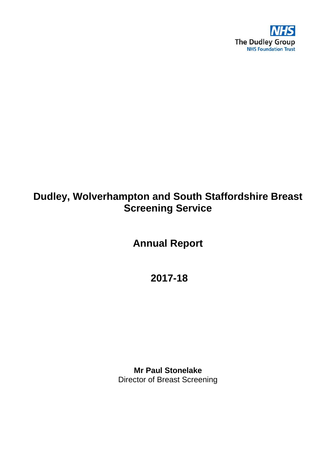

## **Dudley, Wolverhampton and South Staffordshire Breast Screening Service**

**Annual Report**

**2017-18**

**Mr Paul Stonelake** Director of Breast Screening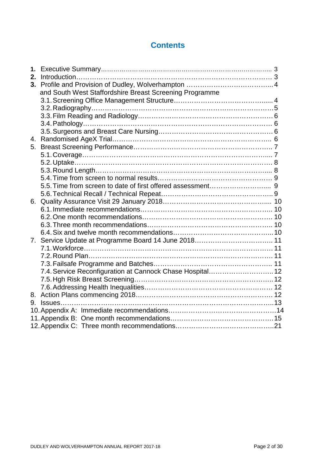## **Contents**

| 1. |                                                           |  |
|----|-----------------------------------------------------------|--|
|    |                                                           |  |
|    |                                                           |  |
|    | and South West Staffordshire Breast Screening Programme   |  |
|    |                                                           |  |
|    |                                                           |  |
|    |                                                           |  |
|    |                                                           |  |
|    |                                                           |  |
|    |                                                           |  |
|    |                                                           |  |
|    |                                                           |  |
|    |                                                           |  |
|    |                                                           |  |
|    |                                                           |  |
|    |                                                           |  |
|    |                                                           |  |
|    |                                                           |  |
|    |                                                           |  |
|    |                                                           |  |
|    |                                                           |  |
|    |                                                           |  |
|    | 7. Service Update at Programme Board 14 June 2018 11      |  |
|    |                                                           |  |
|    |                                                           |  |
|    |                                                           |  |
|    | 7.4. Service Reconfiguration at Cannock Chase Hospital 12 |  |
|    |                                                           |  |
|    |                                                           |  |
|    |                                                           |  |
|    |                                                           |  |
|    |                                                           |  |
|    |                                                           |  |
|    |                                                           |  |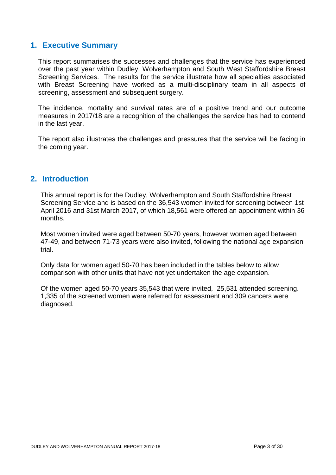## **1. Executive Summary**

This report summarises the successes and challenges that the service has experienced over the past year within Dudley, Wolverhampton and South West Staffordshire Breast Screening Services. The results for the service illustrate how all specialties associated with Breast Screening have worked as a multi-disciplinary team in all aspects of screening, assessment and subsequent surgery.

The incidence, mortality and survival rates are of a positive trend and our outcome measures in 2017/18 are a recognition of the challenges the service has had to contend in the last year.

The report also illustrates the challenges and pressures that the service will be facing in the coming year.

## **2. Introduction**

This annual report is for the Dudley, Wolverhampton and South Staffordshire Breast Screening Service and is based on the 36,543 women invited for screening between 1st April 2016 and 31st March 2017, of which 18,561 were offered an appointment within 36 months.

Most women invited were aged between 50-70 years, however women aged between 47-49, and between 71-73 years were also invited, following the national age expansion trial.

Only data for women aged 50-70 has been included in the tables below to allow comparison with other units that have not yet undertaken the age expansion.

Of the women aged 50-70 years 35,543 that were invited, 25,531 attended screening. 1,335 of the screened women were referred for assessment and 309 cancers were diagnosed.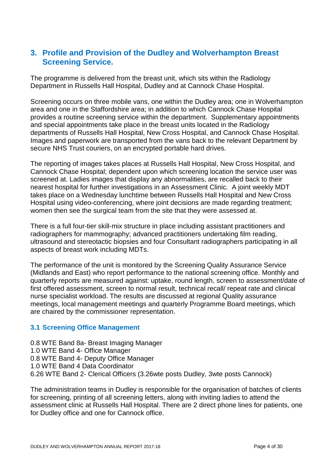## **3. Profile and Provision of the Dudley and Wolverhampton Breast Screening Service.**

The programme is delivered from the breast unit, which sits within the Radiology Department in Russells Hall Hospital, Dudley and at Cannock Chase Hospital.

Screening occurs on three mobile vans, one within the Dudley area; one in Wolverhampton area and one in the Staffordshire area; in addition to which Cannock Chase Hospital provides a routine screening service within the department. Supplementary appointments and special appointments take place in the breast units located in the Radiology departments of Russells Hall Hospital, New Cross Hospital, and Cannock Chase Hospital. Images and paperwork are transported from the vans back to the relevant Department by secure NHS Trust couriers, on an encrypted portable hard drives.

The reporting of images takes places at Russells Hall Hospital, New Cross Hospital, and Cannock Chase Hospital; dependent upon which screening location the service user was screened at. Ladies images that display any abnormalities, are recalled back to their nearest hospital for further investigations in an Assessment Clinic. A joint weekly MDT takes place on a Wednesday lunchtime between Russells Hall Hospital and New Cross Hospital using video-conferencing, where joint decisions are made regarding treatment; women then see the surgical team from the site that they were assessed at.

There is a full four-tier skill-mix structure in place including assistant practitioners and radiographers for mammography; advanced practitioners undertaking film reading, ultrasound and stereotactic biopsies and four Consultant radiographers participating in all aspects of breast work including MDTs.

The performance of the unit is monitored by the Screening Quality Assurance Service (Midlands and East) who report performance to the national screening office. Monthly and quarterly reports are measured against: uptake, round length, screen to assessment/date of first offered assessment, screen to normal result, technical recall/ repeat rate and clinical nurse specialist workload. The results are discussed at regional Quality assurance meetings, local management meetings and quarterly Programme Board meetings, which are chaired by the commissioner representation.

## **3.1 Screening Office Management**

0.8 WTE Band 8a- Breast Imaging Manager 1.0 WTE Band 4- Office Manager 0.8 WTE Band 4- Deputy Office Manager 1.0 WTE Band 4 Data Coordinator 6.26 WTE Band 2- Clerical Officers (3.26wte posts Dudley, 3wte posts Cannock)

The administration teams in Dudley is responsible for the organisation of batches of clients for screening, printing of all screening letters, along with inviting ladies to attend the assessment clinic at Russells Hall Hospital. There are 2 direct phone lines for patients, one for Dudley office and one for Cannock office.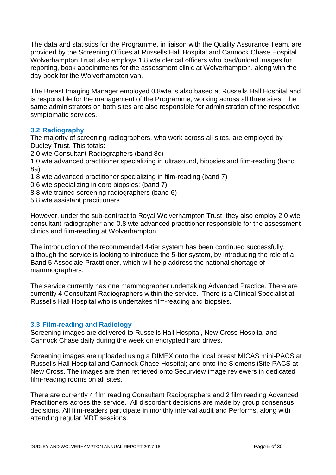The data and statistics for the Programme, in liaison with the Quality Assurance Team, are provided by the Screening Offices at Russells Hall Hospital and Cannock Chase Hospital. Wolverhampton Trust also employs 1.8 wte clerical officers who load/unload images for reporting, book appointments for the assessment clinic at Wolverhampton, along with the day book for the Wolverhampton van.

The Breast Imaging Manager employed 0.8wte is also based at Russells Hall Hospital and is responsible for the management of the Programme, working across all three sites. The same administrators on both sites are also responsible for administration of the respective symptomatic services.

## **3.2 Radiography**

The majority of screening radiographers, who work across all sites, are employed by Dudley Trust. This totals:

2.0 wte Consultant Radiographers (band 8c)

1.0 wte advanced practitioner specializing in ultrasound, biopsies and film-reading (band 8a);

- 1.8 wte advanced practitioner specializing in film-reading (band 7)
- 0.6 wte specializing in core biopsies; (band 7)
- 8.8 wte trained screening radiographers (band 6)
- 5.8 wte assistant practitioners

However, under the sub-contract to Royal Wolverhampton Trust, they also employ 2.0 wte consultant radiographer and 0.8 wte advanced practitioner responsible for the assessment clinics and film-reading at Wolverhampton.

The introduction of the recommended 4-tier system has been continued successfully, although the service is looking to introduce the 5-tier system, by introducing the role of a Band 5 Associate Practitioner, which will help address the national shortage of mammographers.

The service currently has one mammographer undertaking Advanced Practice. There are currently 4 Consultant Radiographers within the service. There is a Clinical Specialist at Russells Hall Hospital who is undertakes film-reading and biopsies.

## **3.3 Film-reading and Radiology**

Screening images are delivered to Russells Hall Hospital, New Cross Hospital and Cannock Chase daily during the week on encrypted hard drives.

Screening images are uploaded using a DIMEX onto the local breast MICAS mini-PACS at Russells Hall Hospital and Cannock Chase Hospital; and onto the Siemens iSite PACS at New Cross. The images are then retrieved onto Securview image reviewers in dedicated film-reading rooms on all sites.

There are currently 4 film reading Consultant Radiographers and 2 film reading Advanced Practitioners across the service. All discordant decisions are made by group consensus decisions. All film-readers participate in monthly interval audit and Performs, along with attending regular MDT sessions.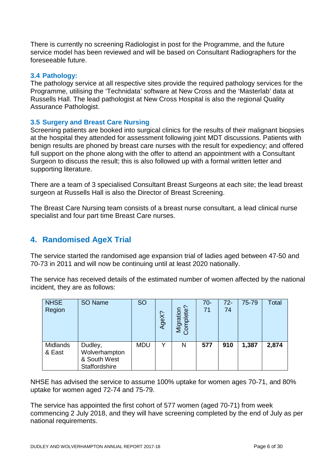There is currently no screening Radiologist in post for the Programme, and the future service model has been reviewed and will be based on Consultant Radiographers for the foreseeable future.

#### **3.4 Pathology:**

The pathology service at all respective sites provide the required pathology services for the Programme, utilising the 'Technidata' software at New Cross and the 'Masterlab' data at Russells Hall. The lead pathologist at New Cross Hospital is also the regional Quality Assurance Pathologist.

#### **3.5 Surgery and Breast Care Nursing**

Screening patients are booked into surgical clinics for the results of their malignant biopsies at the hospital they attended for assessment following joint MDT discussions. Patients with benign results are phoned by breast care nurses with the result for expediency; and offered full support on the phone along with the offer to attend an appointment with a Consultant Surgeon to discuss the result; this is also followed up with a formal written letter and supporting literature.

There are a team of 3 specialised Consultant Breast Surgeons at each site; the lead breast surgeon at Russells Hall is also the Director of Breast Screening.

The Breast Care Nursing team consists of a breast nurse consultant, a lead clinical nurse specialist and four part time Breast Care nurses.

## **4. Randomised AgeX Trial**

The service started the randomised age expansion trial of ladies aged between 47-50 and 70-73 in 2011 and will now be continuing until at least 2020 nationally.

The service has received details of the estimated number of women affected by the national incident, they are as follows:

| <b>NHSE</b><br>Region | SO Name                                                   | <b>SO</b>  | AgeX? | Ċ.<br>Migration<br>Com<br>iplete' | $70-$<br>71 | $72 -$<br>74 | 75-79 | Total |
|-----------------------|-----------------------------------------------------------|------------|-------|-----------------------------------|-------------|--------------|-------|-------|
| Midlands<br>& East    | Dudley,<br>Wolverhampton<br>& South West<br>Staffordshire | <b>MDU</b> | v     | N                                 | 577         | 910          | 1,387 | 2,874 |

NHSE has advised the service to assume 100% uptake for women ages 70-71, and 80% uptake for women aged 72-74 and 75-79.

The service has appointed the first cohort of 577 women (aged 70-71) from week commencing 2 July 2018, and they will have screening completed by the end of July as per national requirements.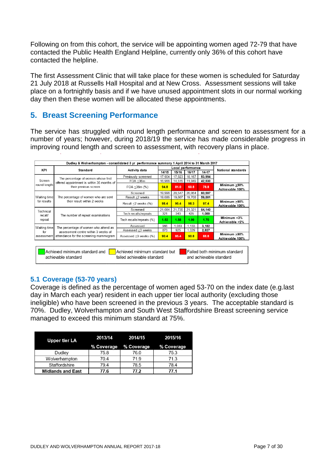Following on from this cohort, the service will be appointing women aged 72-79 that have contacted the Public Health England Helpline, currently only 36% of this cohort have contacted the helpline.

The first Assessment Clinic that will take place for these women is scheduled for Saturday 21 July 2018 at Russells Hall Hospital and at New Cross. Assessment sessions will take place on a fortnightly basis and if we have unused appointment slots in our normal working day then then these women will be allocated these appointments.

## **5. Breast Screening Performance**

The service has struggled with round length performance and screen to assessment for a number of years; however, during 2018/19 the service has made considerable progress in improving round length and screen to assessment, with recovery plans in place.

|                                                                                                                                                                                | Dudley & Wolverhampton - consolidated 3 yr performance summary 1 April 2014 to 31 March 2017 |                           |        |                   |        |        |                                 |  |  |  |
|--------------------------------------------------------------------------------------------------------------------------------------------------------------------------------|----------------------------------------------------------------------------------------------|---------------------------|--------|-------------------|--------|--------|---------------------------------|--|--|--|
| KPI                                                                                                                                                                            | Standard                                                                                     | Activity data             |        | Local performance |        |        | National standards              |  |  |  |
|                                                                                                                                                                                |                                                                                              |                           | 14/15  | 15/16             | 16/17  | 14-17  |                                 |  |  |  |
|                                                                                                                                                                                | The percentage of women whose first                                                          | Previously screened       | 17,904 | 17,923            | 18,167 | 53,994 |                                 |  |  |  |
| Screen                                                                                                                                                                         | offered appointment is within 36 months of                                                   | FOA $\leq$ 36m            | 16,966 | 14,515            | 11,049 | 42,530 |                                 |  |  |  |
| round length                                                                                                                                                                   | their previous screen                                                                        | $FOA < 36m$ (%)           | 94.8   | 81.0              | 60.8   | 78.8   | Minimum ≥90%<br>Achievable 100% |  |  |  |
|                                                                                                                                                                                |                                                                                              | Screened                  | 19,996 | 20.547            | 20,054 | 60,597 |                                 |  |  |  |
| Waiting time                                                                                                                                                                   | The percentage of women who are sent                                                         | Result ≤2 weeks           | 19,686 | 19,607            | 19,708 | 59,001 |                                 |  |  |  |
| for results                                                                                                                                                                    | their result within 2 weeks                                                                  | Result $\leq$ 2 weeks (%) | 98.4   | 95.4              | 98.3   | 97.4   | Minimum >90%<br>Achievable 100% |  |  |  |
| Technical                                                                                                                                                                      |                                                                                              | Screened                  | 21,084 | 21.735            | 21.321 | 64,140 |                                 |  |  |  |
| recall/                                                                                                                                                                        | The number of repeat examinations                                                            | Tech recalls/repeats      | 321    | 343               | 425    | 1,089  |                                 |  |  |  |
| repeat                                                                                                                                                                         |                                                                                              | Tech recalls/repeats (%)  | 1.52   | 1.58              | 1.99   | 1.70   | Minimum <3%<br>Achievable <2%   |  |  |  |
| Waiting time                                                                                                                                                                   | The percentage of women who attend an                                                        | Assessed                  | 966    | 1,083             | 1,133  | 3,182  |                                 |  |  |  |
| for                                                                                                                                                                            | assessment centre within 3 weeks of                                                          | Assessed ≤3 weeks         | 873    | 925               | 1.029  | 2,827  |                                 |  |  |  |
| assessment                                                                                                                                                                     | attendance for the screening mammogram                                                       | Assessed <3 weeks (%)     | 90.4   | 85.4              | 90.8   | 88.8   | Minimum >90%<br>Achievable 100% |  |  |  |
| Achieved minimum standard and<br>Achieved minimum standard but<br>Failed both minimum standard<br>failed achievable standard<br>achievable standard<br>and achievable standard |                                                                                              |                           |        |                   |        |        |                                 |  |  |  |

## **5.1 Coverage (53-70 years)**

Coverage is defined as the percentage of women aged 53-70 on the index date (e.g.last day in March each year) resident in each upper tier local authority (excluding those ineligible) who have been screened in the previous 3 years. The acceptable standard is 70%. Dudley, Wolverhampton and South West Staffordshire Breast screening service managed to exceed this minimum standard at 75%.

| <b>Upper tier LA</b>     | 2013/14    | 2014/15    | 2015/16    |
|--------------------------|------------|------------|------------|
|                          | % Coverage | % Coverage | % Coverage |
| Dudley                   | 75.8       | 76.0       | 75.3       |
| Wolverhampton            | 70.4       | 71 9       | 713        |
| Staffordshire            | 79.4       | 78.5       | 78.4       |
| <b>Midlands and East</b> | 77.6       | 77.2       | 77.1       |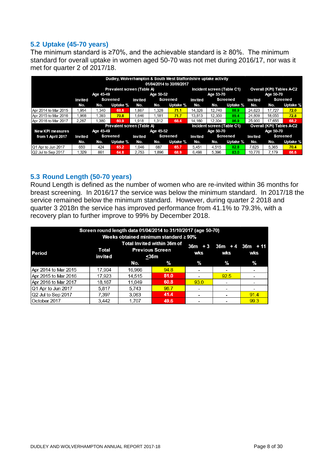## **5.2 Uptake (45-70 years)**

The minimum standard is  $\geq 70\%$ , and the achievable standard is  $\geq 80\%$ . The minimum standard for overall uptake in women aged 50-70 was not met during 2016/17, nor was it met for quarter 2 of 2017/18.

|                         |         |           | Dudley, Wolverhampton & South West Staffordshire uptake activity |         |           | 01/04/2014 to 30/09/2017 |         |                            |                 |                           |                           |                 |  |
|-------------------------|---------|-----------|------------------------------------------------------------------|---------|-----------|--------------------------|---------|----------------------------|-----------------|---------------------------|---------------------------|-----------------|--|
|                         |         |           | Prevalent screen (Table A)                                       |         |           |                          |         | Incident screen (Table C1) |                 | Overall (KPI) Tables A-C2 |                           |                 |  |
|                         |         | Age 45-49 |                                                                  |         | Age 50-52 |                          |         | Age 53-70                  |                 | Age 50-70                 |                           |                 |  |
|                         | Invited |           | Screened                                                         | Invited |           | <b>Screened</b>          | Invited |                            | <b>Screened</b> | Invited                   |                           | <b>Screened</b> |  |
|                         | No.     | No.       | Uptake %                                                         | No.     | No.       | Uptake %                 | No.     | No.                        | Uptake %        | No.                       | No.                       | Uptake %        |  |
| Apr 2014 to Mar 2015    | 1,954   | 1,340     | 68.6                                                             | 1.867   | 1,328     | 71.1                     | 14.326  | 12,740                     | 88.9            | 24.623                    | 17,727                    | 72.0            |  |
| Apr 2015 to Mar 2016    | 1,968   | 1.393     | 70.8                                                             | 1.646   | 1.181     | 71.7                     | 13,813  | 12,350                     | 89.4            | 24,809                    | 18.055                    | 72.8            |  |
| Apr 2016 to Mar 2017    | 2.267   | 1.380     | 60.9                                                             | 1.918   | 1.312     | 68.4                     | 14.160  | 12,304                     | 86.9            | 25,900                    | 17.655                    | 68.2            |  |
|                         |         |           | <b>Prevalent screen (Table A)</b>                                |         |           |                          |         | Incident screen (Table C1) |                 |                           | Overall (KPI) Tables A-C2 |                 |  |
| <b>New KPI measures</b> |         | Age 45-49 |                                                                  |         | Age 45-52 |                          |         | Age 50-70                  |                 |                           | Age 50-70                 |                 |  |
| from 1 April 2017       | Invited |           | <b>Screened</b>                                                  | Invited |           | <b>Screened</b>          | Invited |                            | Screened        | Invited                   |                           | <b>Screened</b> |  |
|                         | No.     | No.       | Uptake %                                                         | No.     | No.       | Uptake %                 | No.     | No.                        | Uptake %        | No.                       | No.                       | Uptake %        |  |
| Q1 Apr to Jun 2017      | 650     | 424       | 65.2                                                             | 1,046   | 687       | 65.7                     | 5,451   | 4,515                      | 82.8            | 7.625                     | 5,365                     | 70.4            |  |
| Q2 Jul to Sep 2017      | 1.329   | 861       | 64.8                                                             | 2.753   | 896.      | 68.9                     | 6.498   | 5.396                      | 83.0            | 10.776                    | 7.179                     | 66.6            |  |

## **5.3 Round Length (50-70 years)**

Round Length is defined as the number of women who are re-invited within 36 months for breast screening. In 2016/17 the service was below the minimum standard. In 2017/18 the service remained below the minimum standard. However, during quarter 2 2018 and quarter 3 2018n the service has improved performance from 41.1% to 79.3%, with a recovery plan to further improve to 99% by December 2018.

| Screen round length data 01/04/2014 to 31/10/2017 (age 50-70)<br>Weeks obtained minimum standard ≥ 90% |                  |        |                                                                |               |                                       |      |  |  |  |  |  |  |
|--------------------------------------------------------------------------------------------------------|------------------|--------|----------------------------------------------------------------|---------------|---------------------------------------|------|--|--|--|--|--|--|
| <b>Period</b>                                                                                          | Total<br>invited |        | Total Invited within 36m of<br><b>Previous Screen</b><br>$36m$ | wks           | $36m + 3$ $36m + 4$ $36m + 11$<br>wks | wks  |  |  |  |  |  |  |
|                                                                                                        |                  | No.    | $\%$                                                           | $\frac{9}{6}$ | %                                     | $\%$ |  |  |  |  |  |  |
| Apr 2014 to Mar 2015                                                                                   | 17,904           | 16,966 | 94.8                                                           |               | $\overline{\phantom{a}}$              |      |  |  |  |  |  |  |
| Apr 2015 to Mar 2016                                                                                   | 17,923           | 14,515 | 81.0                                                           |               | 92.5                                  |      |  |  |  |  |  |  |
| Apr 2016 to Mar 2017                                                                                   | 18,167           | 11,049 | 60.8                                                           | 93.0          | $\overline{\phantom{a}}$              |      |  |  |  |  |  |  |
| Q1 Apr to Jun 2017                                                                                     | 5,817            | 5,743  | 98.7                                                           |               |                                       |      |  |  |  |  |  |  |
| Q2 Jul to Sep 2017                                                                                     | 7.397            | 3.063  | 41.4                                                           | ۰             | $\overline{\phantom{0}}$              | 91.4 |  |  |  |  |  |  |
| October 2017                                                                                           | 3,442            | 1.707  | 49.6                                                           |               |                                       | 99.3 |  |  |  |  |  |  |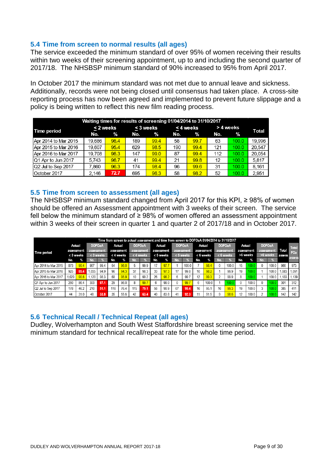## **5.4 Time from screen to normal results (all ages)**

The service exceeded the minimum standard of over 95% of women receiving their results within two weeks of their screening appointment, up to and including the second quarter of 2017/18. The NHSBSP minimum standard of 90% increased to 95% from April 2017.

In October 2017 the minimum standard was not met due to annual leave and sickness. Additionally, records were not being closed until consensus had taken place. A cross-site reporting process has now been agreed and implemented to prevent future slippage and a policy is being written to reflect this new film reading process.

| Waiting times for results of screening 01/04/2014 to 31/10/2017 |        |               |     |           |     |               |          |       |        |  |  |  |
|-----------------------------------------------------------------|--------|---------------|-----|-----------|-----|---------------|----------|-------|--------|--|--|--|
| Time period                                                     |        | < 2 weeks     |     | < 3 weeks |     | < 4 weeks     | >4 weeks | Total |        |  |  |  |
|                                                                 | No.    | $\frac{9}{6}$ | No. | %         | No. | $\frac{9}{6}$ | No.      | $\%$  |        |  |  |  |
| Apr 2014 to Mar 2015                                            | 19,686 | 98.4          | 189 | 99.4      | 58  | 99.7          | 63       | 100.0 | 19.996 |  |  |  |
| Apr 2015 to Mar 2016                                            | 19.607 | 95.4          | 629 | 98.5      | 190 | 99.4          | 121      | 100.0 | 20.547 |  |  |  |
| Apr 2016 to Mar 2017                                            | 19.708 | 98.3          | 147 | 99.0      | 87  | 99.4          | 112      | 100.0 | 20.054 |  |  |  |
| Q1 Apr to Jun 2017                                              | 5.743  | 98.7          | 41  | 99.4      | 21  | 99.8          | 12       | 100.0 | 5.817  |  |  |  |
| Q2 Jul to Sep 2017                                              | .860   | 96.3          | 174 | 98.4      | 96  | 99.6          | 31       | 100.0 | 8.161  |  |  |  |
| October 2017                                                    | 2.146  | 72.7          | 695 | 96.3      | 58  | 98.2          | 52       | 100.0 | 2.951  |  |  |  |

## **5.5 Time from screen to assessment (all ages)**

The NHSBSP minimum standard changed from April 2017 for this KPI, ≥ 98% of women should be offered an Assessment appointment with 3 weeks of their screen. The service fell below the minimum standard of  $\geq$  98% of women offered an assessment appointment within 3 weeks of their screen in quarter 1 and quarter 2 of 2017/18 and in October 2017.

|                      |            |           |               |           |     |            |               |           |            |           |               |           |     | Time from screen to actual assessment and time from screen to DOFOaA 01/04/2014 to 31/10/2017 |               |           |     |                  |     |                  |        |                 |
|----------------------|------------|-----------|---------------|-----------|-----|------------|---------------|-----------|------------|-----------|---------------|-----------|-----|-----------------------------------------------------------------------------------------------|---------------|-----------|-----|------------------|-----|------------------|--------|-----------------|
|                      | Actual     |           | <b>DOFOaA</b> |           |     | Actual     | <b>DOFOaA</b> |           |            | Actual    | <b>DOFOaA</b> |           |     | Actual                                                                                        | <b>DOFOaA</b> |           |     | Actual           |     | <b>DOFOaA</b>    |        | <b>Total</b>    |
| <b>Time period</b>   | assessment |           | assessment    |           |     | assessment | assessment    |           | assessment |           | assessment    |           |     | assessment                                                                                    | assessment    |           |     | assessment       |     | assessment       | Total  | FO <sub>a</sub> |
|                      |            | < 3 weeks |               | < 3 weeks |     | < 4 weeks  |               | < 4 weeks |            | < 5 weeks |               | < 5 weeks |     | < 6 weeks                                                                                     |               | < 6 weeks |     | >6 weeks         |     | >6 weeks         | assess |                 |
|                      | No.        | $\%$      | No            |           | No. |            | No.           |           | No.        | %         | No.           |           | No. | $\%$                                                                                          | No.           |           | No. | %                | ١o. |                  |        | assess          |
| Apr 2014 to Mar 2015 | 873        | 90.4      | 967           | 99.4      | 54  | 96.0       |               | 99.9      |            | 97.7      |               | 100.0     |     | 98.4                                                                                          | $\mathbf{0}$  | 100.0     | 15  | 100.             | 0   | 100.0            | 966    | 973             |
| Apr 2015 to Mar 2016 | 925        | 85.4      | 1.035         | 94.9      | 96  | 94.3       | 37            | 98.3      | 33         | 97.3      | 17            | 99.8      | 10  | 98 <sub>2</sub>                                                                               |               | 99.9      | 19  | 100.0            |     | 100.0            | .083   | 1.091           |
| Apr 2016 to Mar 2017 | .029       |           | .120          | 98.3      | 58  | 95.9       | 10            | 99.2      | 26         | 98.2      | 6             | 99.7      | 12  | 99.3                                                                                          |               | 99.9      | 8   | 100 <sup>1</sup> |     | 100.0            | .133   | .139            |
| Q1 Apr to Jun 2017   | 260        | 86.4      | 303           | 97.1      | 29  | 96.C       |               | 99.7      | 6          | 98.0      |               | 99.       | 6   | 100.0                                                                                         |               |           | 0   | 100.0            |     |                  | 301    | 312             |
| Q2 Jul to Sep 2017   | 178        | 46.2      | 210           | 51.1      | 116 | 764        | 115           | 79.1      | 56         | 90.9      | 67            | 95.4      | 16  | 95.1                                                                                          | 16            | 99.3      | 19  | 100.0            | 3   | 100 <sub>1</sub> | 385    | 411             |
| October 2017         | 44         | 31.0      | 48            | 33.8      | 35  | 55.6       | 42            | 63.4      | 40         | 83.8      | 41            | 92.3      |     | 91.5                                                                                          | 9             | 98.6      | 12  | 100.0            |     |                  | 142    | 142             |

## **5.6 Technical Recall / Technical Repeat (all ages)**

Dudley, Wolverhampton and South West Staffordshire breast screening service met the minimum standard for technical recall/repeat rate for the whole time period.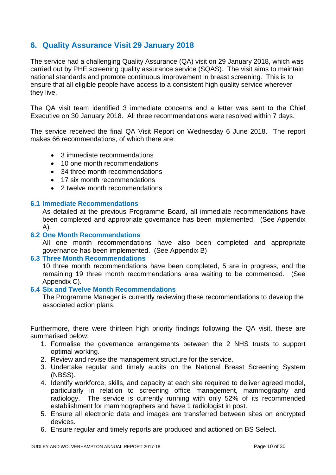## **6. Quality Assurance Visit 29 January 2018**

The service had a challenging Quality Assurance (QA) visit on 29 January 2018, which was carried out by PHE screening quality assurance service (SQAS). The visit aims to maintain national standards and promote continuous improvement in breast screening. This is to ensure that all eligible people have access to a consistent high quality service wherever they live.

The QA visit team identified 3 immediate concerns and a letter was sent to the Chief Executive on 30 January 2018. All three recommendations were resolved within 7 days.

The service received the final QA Visit Report on Wednesday 6 June 2018. The report makes 66 recommendations, of which there are:

- 3 immediate recommendations
- 10 one month recommendations
- 34 three month recommendations
- 17 six month recommendations
- 2 twelve month recommendations

#### **6.1 Immediate Recommendations**

As detailed at the previous Programme Board, all immediate recommendations have been completed and appropriate governance has been implemented. (See Appendix A).

#### **6.2 One Month Recommendations**

All one month recommendations have also been completed and appropriate governance has been implemented. (See Appendix B)

#### **6.3 Three Month Recommendations**

10 three month recommendations have been completed, 5 are in progress, and the remaining 19 three month recommendations area waiting to be commenced. (See Appendix C).

#### **6.4 Six and Twelve Month Recommendations**

The Programme Manager is currently reviewing these recommendations to develop the associated action plans.

Furthermore, there were thirteen high priority findings following the QA visit, these are summarised below:

- 1. Formalise the governance arrangements between the 2 NHS trusts to support optimal working.
- 2. Review and revise the management structure for the service.
- 3. Undertake regular and timely audits on the National Breast Screening System (NBSS).
- 4. Identify workforce, skills, and capacity at each site required to deliver agreed model, particularly in relation to screening office management, mammography and radiology. The service is currently running with only 52% of its recommended establishment for mammographers and have 1 radiologist in post.
- 5. Ensure all electronic data and images are transferred between sites on encrypted devices.
- 6. Ensure regular and timely reports are produced and actioned on BS Select.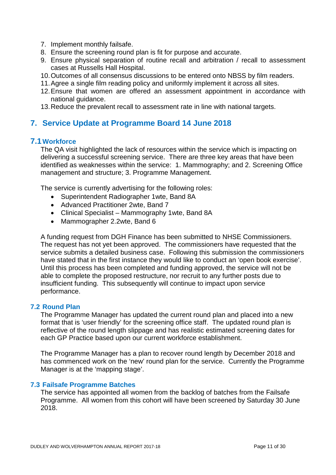- 7. Implement monthly failsafe.
- 8. Ensure the screening round plan is fit for purpose and accurate.
- 9. Ensure physical separation of routine recall and arbitration / recall to assessment cases at Russells Hall Hospital.
- 10.Outcomes of all consensus discussions to be entered onto NBSS by film readers.
- 11.Agree a single film reading policy and uniformly implement it across all sites.
- 12.Ensure that women are offered an assessment appointment in accordance with national guidance.
- 13.Reduce the prevalent recall to assessment rate in line with national targets.

## **7. Service Update at Programme Board 14 June 2018**

## **7.1Workforce**

The QA visit highlighted the lack of resources within the service which is impacting on delivering a successful screening service. There are three key areas that have been identified as weaknesses within the service: 1. Mammography; and 2. Screening Office management and structure; 3. Programme Management.

The service is currently advertising for the following roles:

- Superintendent Radiographer 1wte, Band 8A
- Advanced Practitioner 2wte, Band 7
- Clinical Specialist Mammography 1wte, Band 8A
- Mammographer 2.2wte, Band 6

A funding request from DGH Finance has been submitted to NHSE Commissioners. The request has not yet been approved. The commissioners have requested that the service submits a detailed business case. Following this submission the commissioners have stated that in the first instance they would like to conduct an 'open book exercise'. Until this process has been completed and funding approved, the service will not be able to complete the proposed restructure, nor recruit to any further posts due to insufficient funding. This subsequently will continue to impact upon service performance.

#### **7.2 Round Plan**

The Programme Manager has updated the current round plan and placed into a new format that is 'user friendly' for the screening office staff. The updated round plan is reflective of the round length slippage and has realistic estimated screening dates for each GP Practice based upon our current workforce establishment.

The Programme Manager has a plan to recover round length by December 2018 and has commenced work on the 'new' round plan for the service. Currently the Programme Manager is at the 'mapping stage'.

## **7.3 Failsafe Programme Batches**

The service has appointed all women from the backlog of batches from the Failsafe Programme. All women from this cohort will have been screened by Saturday 30 June 2018.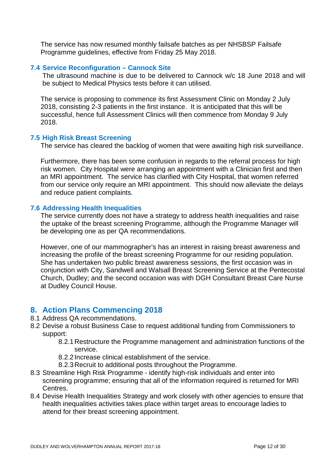The service has now resumed monthly failsafe batches as per NHSBSP Failsafe Programme guidelines, effective from Friday 25 May 2018.

#### **7.4 Service Reconfiguration – Cannock Site**

The ultrasound machine is due to be delivered to Cannock w/c 18 June 2018 and will be subject to Medical Physics tests before it can utilised.

The service is proposing to commence its first Assessment Clinic on Monday 2 July 2018, consisting 2-3 patients in the first instance. It is anticipated that this will be successful, hence full Assessment Clinics will then commence from Monday 9 July 2018.

#### **7.5 High Risk Breast Screening**

The service has cleared the backlog of women that were awaiting high risk surveillance.

Furthermore, there has been some confusion in regards to the referral process for high risk women. City Hospital were arranging an appointment with a Clinician first and then an MRI appointment. The service has clarified with City Hospital, that women referred from our service only require an MRI appointment. This should now alleviate the delays and reduce patient complaints.

#### **7.6 Addressing Health Inequalities**

The service currently does not have a strategy to address health inequalities and raise the uptake of the breast screening Programme, although the Programme Manager will be developing one as per QA recommendations.

However, one of our mammographer's has an interest in raising breast awareness and increasing the profile of the breast screening Programme for our residing population. She has undertaken two public breast awareness sessions, the first occasion was in conjunction with City, Sandwell and Walsall Breast Screening Service at the Pentecostal Church, Dudley; and the second occasion was with DGH Consultant Breast Care Nurse at Dudley Council House.

## **8. Action Plans Commencing 2018**

- 8.1 Address QA recommendations.
- 8.2 Devise a robust Business Case to request additional funding from Commissioners to support:
	- 8.2.1Restructure the Programme management and administration functions of the service.
	- 8.2.2Increase clinical establishment of the service.
	- 8.2.3Recruit to additional posts throughout the Programme.
- 8.3 Streamline High Risk Programme identify high-risk individuals and enter into screening programme; ensuring that all of the information required is returned for MRI Centres.
- 8.4 Devise Health Inequalities Strategy and work closely with other agencies to ensure that health inequalities activities takes place within target areas to encourage ladies to attend for their breast screening appointment.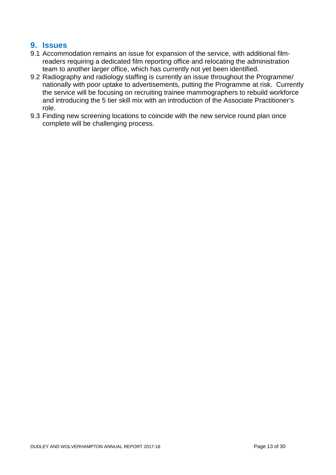## **9. Issues**

- 9.1 Accommodation remains an issue for expansion of the service, with additional filmreaders requiring a dedicated film reporting office and relocating the administration team to another larger office, which has currently not yet been identified.
- 9.2 Radiography and radiology staffing is currently an issue throughout the Programme/ nationally with poor uptake to advertisements, putting the Programme at risk. Currently the service will be focusing on recruiting trainee mammographers to rebuild workforce and introducing the 5 tier skill mix with an introduction of the Associate Practitioner's role.
- 9.3 Finding new screening locations to coincide with the new service round plan once complete will be challenging process.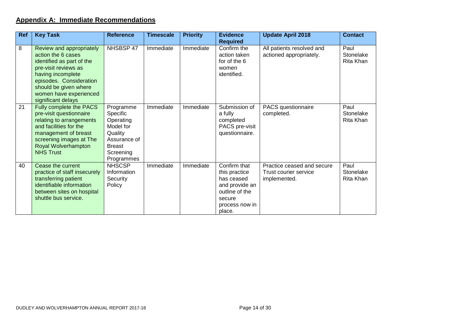## **Appendix A: Immediate Recommendations**

| <b>Ref</b> | <b>Key Task</b>                                                                                                                                                                                                              | <b>Reference</b>                                                                                                       | <b>Timescale</b> | <b>Priority</b> | <b>Evidence</b><br><b>Required</b>                                                                                    | <b>Update April 2018</b>                                            | <b>Contact</b>                 |
|------------|------------------------------------------------------------------------------------------------------------------------------------------------------------------------------------------------------------------------------|------------------------------------------------------------------------------------------------------------------------|------------------|-----------------|-----------------------------------------------------------------------------------------------------------------------|---------------------------------------------------------------------|--------------------------------|
| 8          | Review and appropriately<br>action the 6 cases<br>identified as part of the<br>pre-visit reviews as<br>having incomplete<br>episodes. Consideration<br>should be given where<br>women have experienced<br>significant delays | NHSBSP 47                                                                                                              | Immediate        | Immediate       | Confirm the<br>action taken<br>for of the 6<br>women<br>identified.                                                   | All patients resolved and<br>actioned appropriately.                | Paul<br>Stonelake<br>Rita Khan |
| 21         | Fully complete the PACS<br>pre-visit questionnaire<br>relating to arrangements<br>and facilities for the<br>management of breast<br>screening images at The<br>Royal Wolverhampton<br><b>NHS Trust</b>                       | Programme<br>Specific<br>Operating<br>Model for<br>Quality<br>Assurance of<br><b>Breast</b><br>Screening<br>Programmes | Immediate        | Immediate       | Submission of<br>a fully<br>completed<br>PACS pre-visit<br>questionnaire.                                             | PACS questionnaire<br>completed.                                    | Paul<br>Stonelake<br>Rita Khan |
| 40         | Cease the current<br>practice of staff insecurely<br>transferring patient<br>identifiable information<br>between sites on hospital<br>shuttle bus service.                                                                   | <b>NHSCSP</b><br>Information<br>Security<br>Policy                                                                     | Immediate        | Immediate       | Confirm that<br>this practice<br>has ceased<br>and provide an<br>outline of the<br>secure<br>process now in<br>place. | Practice ceased and secure<br>Trust courier service<br>implemented. | Paul<br>Stonelake<br>Rita Khan |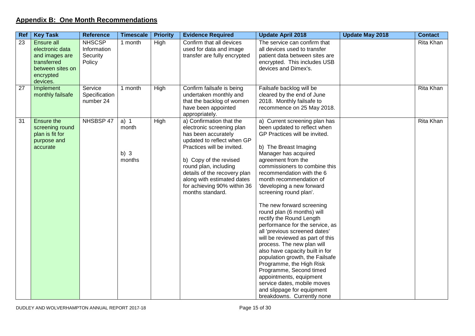## **Appendix B: One Month Recommendations**

| Ref | <b>Key Task</b>                                                                                             | <b>Reference</b>                                   | <b>Timescale</b>                    | <b>Priority</b> | <b>Evidence Required</b>                                                                                                                                                                                                                                                                                     | <b>Update April 2018</b>                                                                                                                                                                                                                                                                                                                                                                                                                                                                                                                                                                                                                                                                                                                                                                              | <b>Update May 2018</b> | <b>Contact</b>   |
|-----|-------------------------------------------------------------------------------------------------------------|----------------------------------------------------|-------------------------------------|-----------------|--------------------------------------------------------------------------------------------------------------------------------------------------------------------------------------------------------------------------------------------------------------------------------------------------------------|-------------------------------------------------------------------------------------------------------------------------------------------------------------------------------------------------------------------------------------------------------------------------------------------------------------------------------------------------------------------------------------------------------------------------------------------------------------------------------------------------------------------------------------------------------------------------------------------------------------------------------------------------------------------------------------------------------------------------------------------------------------------------------------------------------|------------------------|------------------|
| 23  | Ensure all<br>electronic data<br>and images are<br>transferred<br>between sites on<br>encrypted<br>devices. | <b>NHSCSP</b><br>Information<br>Security<br>Policy | 1 month                             | High            | Confirm that all devices<br>used for data and image<br>transfer are fully encrypted                                                                                                                                                                                                                          | The service can confirm that<br>all devices used to transfer<br>patient data between sites are<br>encrypted. This includes USB<br>devices and Dimex's.                                                                                                                                                                                                                                                                                                                                                                                                                                                                                                                                                                                                                                                |                        | Rita Khan        |
| 27  | Implement<br>monthly failsafe                                                                               | Service<br>Specification<br>number 24              | 1 month                             | High            | Confirm failsafe is being<br>undertaken monthly and<br>that the backlog of women<br>have been appointed<br>appropriately.                                                                                                                                                                                    | Failsafe backlog will be<br>cleared by the end of June<br>2018. Monthly failsafe to<br>recommence on 25 May 2018.                                                                                                                                                                                                                                                                                                                                                                                                                                                                                                                                                                                                                                                                                     |                        | Rita Khan        |
| 31  | Ensure the<br>screening round<br>plan is fit for<br>purpose and<br>accurate                                 | NHSBSP 47                                          | $a)$ 1<br>month<br>b) $3$<br>months | High            | a) Confirmation that the<br>electronic screening plan<br>has been accurately<br>updated to reflect when GP<br>Practices will be invited.<br>b) Copy of the revised<br>round plan, including<br>details of the recovery plan<br>along with estimated dates<br>for achieving 90% within 36<br>months standard. | a) Current screening plan has<br>been updated to reflect when<br>GP Practices will be invited.<br>b) The Breast Imaging<br>Manager has acquired<br>agreement from the<br>commissioners to combine this<br>recommendation with the 6<br>month recommendation of<br>'developing a new forward<br>screening round plan'.<br>The new forward screening<br>round plan (6 months) will<br>rectify the Round Length<br>performance for the service, as<br>all 'previous screened dates'<br>will be reviewed as part of this<br>process. The new plan will<br>also have capacity built in for<br>population growth, the Failsafe<br>Programme, the High Risk<br>Programme, Second timed<br>appointments, equipment<br>service dates, mobile moves<br>and slippage for equipment<br>breakdowns. Currently none |                        | <b>Rita Khan</b> |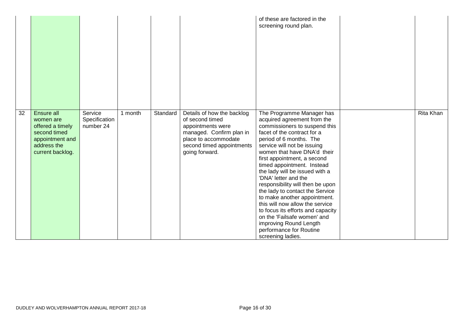|                 |                                                                                                                   |                                       |         |          |                                                                                                                                                                       | of these are factored in the<br>screening round plan.                                                                                                                                                                                                                                                                                                                                                                                                                                                                                                                                                                            |           |
|-----------------|-------------------------------------------------------------------------------------------------------------------|---------------------------------------|---------|----------|-----------------------------------------------------------------------------------------------------------------------------------------------------------------------|----------------------------------------------------------------------------------------------------------------------------------------------------------------------------------------------------------------------------------------------------------------------------------------------------------------------------------------------------------------------------------------------------------------------------------------------------------------------------------------------------------------------------------------------------------------------------------------------------------------------------------|-----------|
| $\overline{32}$ | Ensure all<br>women are<br>offered a timely<br>second timed<br>appointment and<br>address the<br>current backlog. | Service<br>Specification<br>number 24 | 1 month | Standard | Details of how the backlog<br>of second timed<br>appointments were<br>managed. Confirm plan in<br>place to accommodate<br>second timed appointments<br>going forward. | The Programme Manager has<br>acquired agreement from the<br>commissioners to suspend this<br>facet of the contract for a<br>period of 6 months. The<br>service will not be issuing<br>women that have DNA'd their<br>first appointment, a second<br>timed appointment. Instead<br>the lady will be issued with a<br>'DNA' letter and the<br>responsibility will then be upon<br>the lady to contact the Service<br>to make another appointment.<br>this will now allow the service<br>to focus its efforts and capacity<br>on the 'Failsafe women' and<br>improving Round Length<br>performance for Routine<br>screening ladies. | Rita Khan |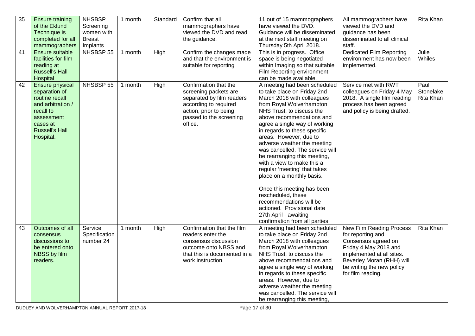| 35<br>41 | <b>Ensure training</b><br>of the Eklund<br>Technique is<br>completed for all<br>mammographers<br>Ensure suitable<br>facilities for film<br>reading at<br><b>Russell's Hall</b> | <b>NHSBSP</b><br>Screening<br>women with<br><b>Breast</b><br>Implants<br>NHSBSP 55 | 1 month<br>1 month | Standard<br>High | Confirm that all<br>mammographers have<br>viewed the DVD and read<br>the guidance.<br>Confirm the changes made<br>and that the environment is<br>suitable for reporting | 11 out of 15 mammographers<br>have viewed the DVD.<br>Guidance will be disseminated<br>at the next staff meeting on<br>Thursday 5th April 2018.<br>This is in progress. Office<br>space is being negotiated<br>within Imaging so that suitable                                                                                                                                                                                                                                                                                                                                                                                                                                                          | All mammographers have<br>viewed the DVD and<br>guidance has been<br>disseminated to all clinical<br>staff.<br><b>Dedicated Film Reporting</b><br>environment has now been<br>implemented.                | Rita Khan<br>Julie<br>Whiles    |
|----------|--------------------------------------------------------------------------------------------------------------------------------------------------------------------------------|------------------------------------------------------------------------------------|--------------------|------------------|-------------------------------------------------------------------------------------------------------------------------------------------------------------------------|---------------------------------------------------------------------------------------------------------------------------------------------------------------------------------------------------------------------------------------------------------------------------------------------------------------------------------------------------------------------------------------------------------------------------------------------------------------------------------------------------------------------------------------------------------------------------------------------------------------------------------------------------------------------------------------------------------|-----------------------------------------------------------------------------------------------------------------------------------------------------------------------------------------------------------|---------------------------------|
| 42       | Hospital<br>Ensure physical<br>separation of<br>routine recall<br>and arbitration /<br>recall to<br>assessment<br>cases at<br><b>Russell's Hall</b><br>Hospital.               | NHSBSP 55                                                                          | 1 month            | High             | Confirmation that the<br>screening packets are<br>separated by film readers<br>according to required<br>action, prior to being<br>passed to the screening<br>office.    | Film Reporting environment<br>can be made available.<br>A meeting had been scheduled<br>to take place on Friday 2nd<br>March 2018 with colleagues<br>from Royal Wolverhampton<br>NHS Trust, to discuss the<br>above recommendations and<br>agree a single way of working<br>in regards to these specific<br>areas. However, due to<br>adverse weather the meeting<br>was cancelled. The service will<br>be rearranging this meeting,<br>with a view to make this a<br>regular 'meeting' that takes<br>place on a monthly basis.<br>Once this meeting has been<br>rescheduled, these<br>recommendations will be<br>actioned. Provisional date<br>27th April - awaiting<br>confirmation from all parties. | Service met with RWT<br>colleagues on Friday 4 May<br>2018. A single film reading<br>process has been agreed<br>and policy is being drafted.                                                              | Paul<br>Stonelake,<br>Rita Khan |
| 43       | Outcomes of all<br>consensus<br>discussions to<br>be entered onto<br>NBSS by film<br>readers.                                                                                  | Service<br>Specification<br>number 24                                              | 1 month            | High             | Confirmation that the film<br>readers enter the<br>consensus discussion<br>outcome onto NBSS and<br>that this is documented in a<br>work instruction.                   | A meeting had been scheduled<br>to take place on Friday 2nd<br>March 2018 with colleagues<br>from Royal Wolverhampton<br>NHS Trust, to discuss the<br>above recommendations and<br>agree a single way of working<br>in regards to these specific<br>areas. However, due to<br>adverse weather the meeting<br>was cancelled. The service will<br>be rearranging this meeting,                                                                                                                                                                                                                                                                                                                            | New Film Reading Process<br>for reporting and<br>Consensus agreed on<br>Friday 4 May 2018 and<br>implemented at all sites.<br>Beverley Moran (RHH) will<br>be writing the new policy<br>for film reading. | Rita Khan                       |

DUDLEY AND WOLVERHAMPTON ANNUAL REPORT 2017-18 Page 17 of 30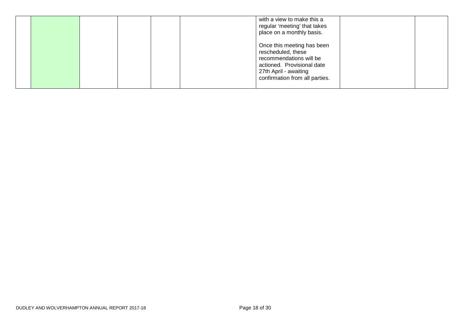|  |  |  | with a view to make this a<br>regular 'meeting' that takes<br>place on a monthly basis.                                                                              |  |
|--|--|--|----------------------------------------------------------------------------------------------------------------------------------------------------------------------|--|
|  |  |  | Once this meeting has been<br>rescheduled, these<br>recommendations will be<br>actioned. Provisional date<br>27th April - awaiting<br>confirmation from all parties. |  |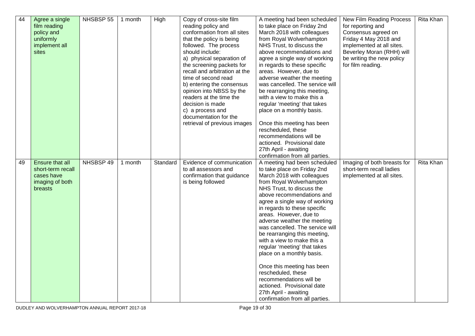| 44 | Agree a single    | NHSBSP 55 | 1 month | High     | Copy of cross-site film       | A meeting had been scheduled    | New Film Reading Process    | Rita Khan        |
|----|-------------------|-----------|---------|----------|-------------------------------|---------------------------------|-----------------------------|------------------|
|    | film reading      |           |         |          | reading policy and            | to take place on Friday 2nd     | for reporting and           |                  |
|    | policy and        |           |         |          | conformation from all sites   | March 2018 with colleagues      | Consensus agreed on         |                  |
|    | uniformly         |           |         |          | that the policy is being      | from Royal Wolverhampton        | Friday 4 May 2018 and       |                  |
|    | implement all     |           |         |          | followed. The process         | NHS Trust, to discuss the       | implemented at all sites.   |                  |
|    | sites             |           |         |          | should include:               | above recommendations and       | Beverley Moran (RHH) will   |                  |
|    |                   |           |         |          | a) physical separation of     | agree a single way of working   | be writing the new policy   |                  |
|    |                   |           |         |          | the screening packets for     | in regards to these specific    | for film reading.           |                  |
|    |                   |           |         |          | recall and arbitration at the | areas. However, due to          |                             |                  |
|    |                   |           |         |          | time of second read           | adverse weather the meeting     |                             |                  |
|    |                   |           |         |          | b) entering the consensus     | was cancelled. The service will |                             |                  |
|    |                   |           |         |          | opinion into NBSS by the      | be rearranging this meeting,    |                             |                  |
|    |                   |           |         |          | readers at the time the       | with a view to make this a      |                             |                  |
|    |                   |           |         |          | decision is made              | regular 'meeting' that takes    |                             |                  |
|    |                   |           |         |          | c) a process and              | place on a monthly basis.       |                             |                  |
|    |                   |           |         |          | documentation for the         |                                 |                             |                  |
|    |                   |           |         |          | retrieval of previous images  | Once this meeting has been      |                             |                  |
|    |                   |           |         |          |                               | rescheduled, these              |                             |                  |
|    |                   |           |         |          |                               | recommendations will be         |                             |                  |
|    |                   |           |         |          |                               | actioned. Provisional date      |                             |                  |
|    |                   |           |         |          |                               | 27th April - awaiting           |                             |                  |
|    |                   |           |         |          |                               | confirmation from all parties.  |                             |                  |
| 49 | Ensure that all   | NHSBSP 49 | 1 month | Standard | Evidence of communication     | A meeting had been scheduled    | Imaging of both breasts for | <b>Rita Khan</b> |
|    | short-term recall |           |         |          | to all assessors and          | to take place on Friday 2nd     | short-term recall ladies    |                  |
|    | cases have        |           |         |          | confirmation that guidance    | March 2018 with colleagues      | implemented at all sites.   |                  |
|    | imaging of both   |           |         |          | is being followed             | from Royal Wolverhampton        |                             |                  |
|    | <b>breasts</b>    |           |         |          |                               | NHS Trust, to discuss the       |                             |                  |
|    |                   |           |         |          |                               | above recommendations and       |                             |                  |
|    |                   |           |         |          |                               | agree a single way of working   |                             |                  |
|    |                   |           |         |          |                               | in regards to these specific    |                             |                  |
|    |                   |           |         |          |                               | areas. However, due to          |                             |                  |
|    |                   |           |         |          |                               | adverse weather the meeting     |                             |                  |
|    |                   |           |         |          |                               | was cancelled. The service will |                             |                  |
|    |                   |           |         |          |                               | be rearranging this meeting,    |                             |                  |
|    |                   |           |         |          |                               | with a view to make this a      |                             |                  |
|    |                   |           |         |          |                               | regular 'meeting' that takes    |                             |                  |
|    |                   |           |         |          |                               | place on a monthly basis.       |                             |                  |
|    |                   |           |         |          |                               |                                 |                             |                  |
|    |                   |           |         |          |                               | Once this meeting has been      |                             |                  |
|    |                   |           |         |          |                               | rescheduled, these              |                             |                  |
|    |                   |           |         |          |                               | recommendations will be         |                             |                  |
|    |                   |           |         |          |                               | actioned. Provisional date      |                             |                  |
|    |                   |           |         |          |                               | 27th April - awaiting           |                             |                  |
|    |                   |           |         |          |                               | confirmation from all parties.  |                             |                  |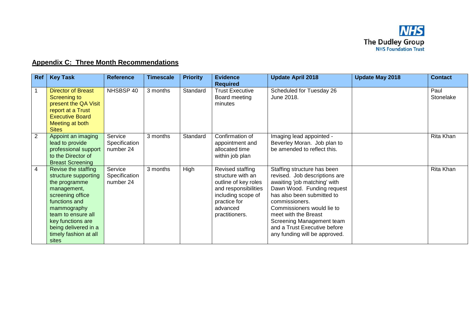

## **Appendix C: Three Month Recommendations**

| Ref            | <b>Key Task</b>                                                                                                                                                                                                                      | <b>Reference</b>                      | <b>Timescale</b> | <b>Priority</b> | <b>Evidence</b><br><b>Required</b>                                                                                                                        | <b>Update April 2018</b>                                                                                                                                                                                                                                                                                                       | <b>Update May 2018</b> | <b>Contact</b>    |
|----------------|--------------------------------------------------------------------------------------------------------------------------------------------------------------------------------------------------------------------------------------|---------------------------------------|------------------|-----------------|-----------------------------------------------------------------------------------------------------------------------------------------------------------|--------------------------------------------------------------------------------------------------------------------------------------------------------------------------------------------------------------------------------------------------------------------------------------------------------------------------------|------------------------|-------------------|
|                | <b>Director of Breast</b><br>Screening to<br>present the QA Visit<br>report at a Trust<br><b>Executive Board</b><br>Meeting at both<br><b>Sites</b>                                                                                  | NHSBSP 40                             | 3 months         | Standard        | <b>Trust Executive</b><br>Board meeting<br>minutes                                                                                                        | Scheduled for Tuesday 26<br>June 2018.                                                                                                                                                                                                                                                                                         |                        | Paul<br>Stonelake |
| $\overline{2}$ | Appoint an imaging<br>lead to provide<br>professional support<br>to the Director of<br><b>Breast Screening</b>                                                                                                                       | Service<br>Specification<br>number 24 | 3 months         | Standard        | Confirmation of<br>appointment and<br>allocated time<br>within job plan                                                                                   | Imaging lead appointed -<br>Beverley Moran. Job plan to<br>be amended to reflect this.                                                                                                                                                                                                                                         |                        | Rita Khan         |
| 4              | Revise the staffing<br>structure supporting<br>the programme<br>management,<br>screening office<br>functions and<br>mammography<br>team to ensure all<br>key functions are<br>being delivered in a<br>timely fashion at all<br>sites | Service<br>Specification<br>number 24 | 3 months         | High            | Revised staffing<br>structure with an<br>outline of key roles<br>and responsibilities<br>including scope of<br>practice for<br>advanced<br>practitioners. | Staffing structure has been<br>revised. Job descriptions are<br>awaiting 'job matching' with<br>Dawn Wood. Funding request<br>has also been submitted to<br>commissioners.<br>Commissioners would lie to<br>meet with the Breast<br>Screening Management team<br>and a Trust Executive before<br>any funding will be approved. |                        | Rita Khan         |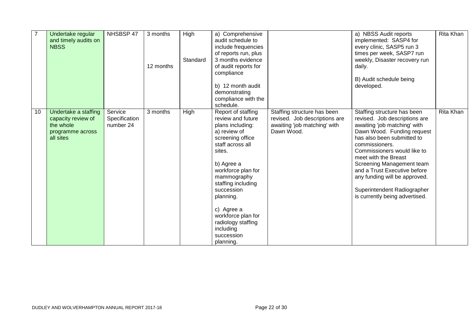| $\overline{7}$ | Undertake regular<br>and timely audits on<br><b>NBSS</b>                                 | NHSBSP 47                             | 3 months<br>12 months | High<br>Standard | a) Comprehensive<br>audit schedule to<br>include frequencies<br>of reports run, plus<br>3 months evidence<br>of audit reports for<br>compliance<br>b) 12 month audit<br>demonstrating<br>compliance with the<br>schedule.                                                                                                           |                                                                                                            | a) NBSS Audit reports<br>implemented: SASP4 for<br>every clinic, SASP5 run 3<br>times per week, SASP7 run<br>weekly, Disaster recovery run<br>daily.<br>B) Audit schedule being<br>developed.                                                                                                                                                                                                    | Rita Khan |
|----------------|------------------------------------------------------------------------------------------|---------------------------------------|-----------------------|------------------|-------------------------------------------------------------------------------------------------------------------------------------------------------------------------------------------------------------------------------------------------------------------------------------------------------------------------------------|------------------------------------------------------------------------------------------------------------|--------------------------------------------------------------------------------------------------------------------------------------------------------------------------------------------------------------------------------------------------------------------------------------------------------------------------------------------------------------------------------------------------|-----------|
| 10             | Undertake a staffing<br>capacity review of<br>the whole<br>programme across<br>all sites | Service<br>Specification<br>number 24 | 3 months              | High             | Report of staffing<br>review and future<br>plans including:<br>a) review of<br>screening office<br>staff across all<br>sites.<br>b) Agree a<br>workforce plan for<br>mammography<br>staffing including<br>succession<br>planning.<br>c) Agree a<br>workforce plan for<br>radiology staffing<br>including<br>succession<br>planning. | Staffing structure has been<br>revised. Job descriptions are<br>awaiting 'job matching' with<br>Dawn Wood. | Staffing structure has been<br>revised. Job descriptions are<br>awaiting 'job matching' with<br>Dawn Wood. Funding request<br>has also been submitted to<br>commissioners.<br>Commissioners would like to<br>meet with the Breast<br>Screening Management team<br>and a Trust Executive before<br>any funding will be approved.<br>Superintendent Radiographer<br>is currently being advertised. | Rita Khan |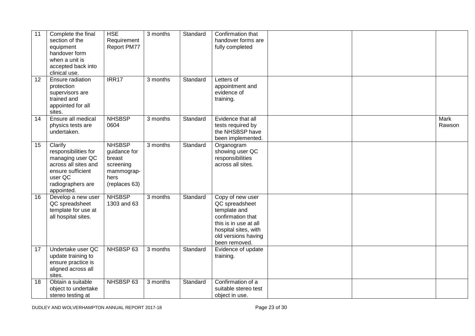| 11 | Complete the final<br>section of the<br>equipment<br>handover form<br>when a unit is<br>accepted back into<br>clinical use.                    | <b>HSE</b><br>Requirement<br>Report PM77                                                    | 3 months | Standard | Confirmation that<br>handover forms are<br>fully completed                                                                                                       |                       |
|----|------------------------------------------------------------------------------------------------------------------------------------------------|---------------------------------------------------------------------------------------------|----------|----------|------------------------------------------------------------------------------------------------------------------------------------------------------------------|-----------------------|
| 12 | Ensure radiation<br>protection<br>supervisors are<br>trained and<br>appointed for all<br>sites.                                                | IRR17                                                                                       | 3 months | Standard | Letters of<br>appointment and<br>evidence of<br>training.                                                                                                        |                       |
| 14 | Ensure all medical<br>physics tests are<br>undertaken.                                                                                         | <b>NHSBSP</b><br>0604                                                                       | 3 months | Standard | Evidence that all<br>tests required by<br>the NHSBSP have<br>been implemented.                                                                                   | <b>Mark</b><br>Rawson |
| 15 | Clarify<br>responsibilities for<br>managing user QC<br>across all sites and<br>ensure sufficient<br>user QC<br>radiographers are<br>appointed. | <b>NHSBSP</b><br>guidance for<br>breast<br>screening<br>mammograp-<br>hers<br>(replaces 63) | 3 months | Standard | Organogram<br>showing user QC<br>responsibilities<br>across all sites.                                                                                           |                       |
| 16 | Develop a new user<br>QC spreadsheet<br>template for use at<br>all hospital sites.                                                             | <b>NHSBSP</b><br>1303 and 63                                                                | 3 months | Standard | Copy of new user<br>QC spreadsheet<br>template and<br>confirmation that<br>this is in use at all<br>hospital sites, with<br>old versions having<br>been removed. |                       |
| 17 | Undertake user QC<br>update training to<br>ensure practice is<br>aligned across all<br>sites.                                                  | NHSBSP 63                                                                                   | 3 months | Standard | Evidence of update<br>training.                                                                                                                                  |                       |
| 18 | Obtain a suitable<br>object to undertake<br>stereo testing at                                                                                  | NHSBSP 63                                                                                   | 3 months | Standard | Confirmation of a<br>suitable stereo test<br>object in use.                                                                                                      |                       |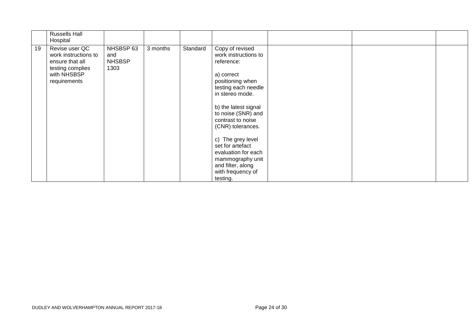|    | <b>Russells Hall</b><br>Hospital                                                                             |                                           |          |          |                                                                                                                                                                                                                                                                                                                                                                     |  |  |
|----|--------------------------------------------------------------------------------------------------------------|-------------------------------------------|----------|----------|---------------------------------------------------------------------------------------------------------------------------------------------------------------------------------------------------------------------------------------------------------------------------------------------------------------------------------------------------------------------|--|--|
| 19 | Revise user QC<br>work instructions to<br>ensure that all<br>testing complies<br>with NHSBSP<br>requirements | NHSBSP 63<br>and<br><b>NHSBSP</b><br>1303 | 3 months | Standard | Copy of revised<br>work instructions to<br>reference:<br>a) correct<br>positioning when<br>testing each needle<br>in stereo mode.<br>b) the latest signal<br>to noise (SNR) and<br>contrast to noise<br>(CNR) tolerances.<br>c) The grey level<br>set for artefact<br>evaluation for each<br>mammography unit<br>and filter, along<br>with frequency of<br>testing. |  |  |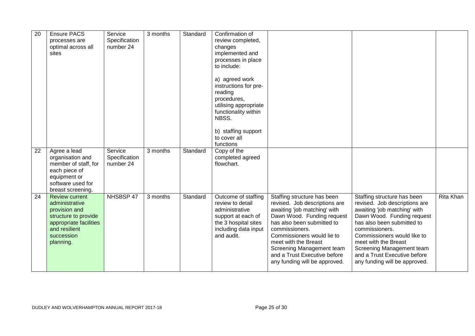| 20 | <b>Ensure PACS</b><br>processes are<br>optimal across all<br>sites                                                                                     | Service<br>Specification<br>number 24 | 3 months | Standard | Confirmation of<br>review completed,<br>changes<br>implemented and<br>processes in place<br>to include:<br>a) agreed work<br>instructions for pre-<br>reading<br>procedures,<br>utilising appropriate<br>functionality within<br>NBSS.<br>b) staffing support<br>to cover all |                                                                                                                                                                                                                                                                                                                                |                                                                                                                                                                                                                                                                                                                                 |           |
|----|--------------------------------------------------------------------------------------------------------------------------------------------------------|---------------------------------------|----------|----------|-------------------------------------------------------------------------------------------------------------------------------------------------------------------------------------------------------------------------------------------------------------------------------|--------------------------------------------------------------------------------------------------------------------------------------------------------------------------------------------------------------------------------------------------------------------------------------------------------------------------------|---------------------------------------------------------------------------------------------------------------------------------------------------------------------------------------------------------------------------------------------------------------------------------------------------------------------------------|-----------|
|    |                                                                                                                                                        |                                       |          |          | functions                                                                                                                                                                                                                                                                     |                                                                                                                                                                                                                                                                                                                                |                                                                                                                                                                                                                                                                                                                                 |           |
| 22 | Agree a lead<br>organisation and<br>member of staff, for<br>each piece of<br>equipment or<br>software used for<br>breast screening.                    | Service<br>Specification<br>number 24 | 3 months | Standard | Copy of the<br>completed agreed<br>flowchart.                                                                                                                                                                                                                                 |                                                                                                                                                                                                                                                                                                                                |                                                                                                                                                                                                                                                                                                                                 |           |
| 24 | <b>Review current</b><br>administrative<br>provision and<br>structure to provide<br>appropriate facilities<br>and resilient<br>succession<br>planning. | NHSBSP 47                             | 3 months | Standard | Outcome of staffing<br>review to detail<br>administrative<br>support at each of<br>the 3 hospital sites<br>including data input<br>and audit.                                                                                                                                 | Staffing structure has been<br>revised. Job descriptions are<br>awaiting 'job matching' with<br>Dawn Wood. Funding request<br>has also been submitted to<br>commissioners.<br>Commissioners would lie to<br>meet with the Breast<br>Screening Management team<br>and a Trust Executive before<br>any funding will be approved. | Staffing structure has been<br>revised. Job descriptions are<br>awaiting 'job matching' with<br>Dawn Wood. Funding request<br>has also been submitted to<br>commissioners.<br>Commissioners would like to<br>meet with the Breast<br>Screening Management team<br>and a Trust Executive before<br>any funding will be approved. | Rita Khan |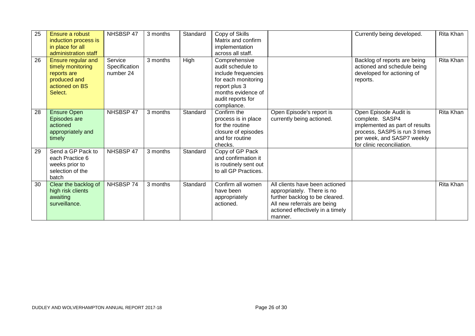| 25 | Ensure a robust<br>induction process is<br>in place for all<br>administration staff                 | NHSBSP 47                             | 3 months | Standard | Copy of Skills<br>Matrix and confirm<br>implementation<br>across all staff.                                                                                 |                                                                                                                                                                              | Currently being developed.                                                                                                                                              | Rita Khan |
|----|-----------------------------------------------------------------------------------------------------|---------------------------------------|----------|----------|-------------------------------------------------------------------------------------------------------------------------------------------------------------|------------------------------------------------------------------------------------------------------------------------------------------------------------------------------|-------------------------------------------------------------------------------------------------------------------------------------------------------------------------|-----------|
| 26 | Ensure regular and<br>timely monitoring<br>reports are<br>produced and<br>actioned on BS<br>Select. | Service<br>Specification<br>number 24 | 3 months | High     | Comprehensive<br>audit schedule to<br>include frequencies<br>for each monitoring<br>report plus 3<br>months evidence of<br>audit reports for<br>compliance. |                                                                                                                                                                              | Backlog of reports are being<br>actioned and schedule being<br>developed for actioning of<br>reports.                                                                   | Rita Khan |
| 28 | <b>Ensure Open</b><br>Episodes are<br>actioned<br>appropriately and<br>timely                       | NHSBSP 47                             | 3 months | Standard | Confirm the<br>process is in place<br>for the routine<br>closure of episodes<br>and for routine<br>checks.                                                  | Open Episode's report is<br>currently being actioned.                                                                                                                        | Open Episode Audit is<br>complete. SASP4<br>implemented as part of results<br>process, SASP5 is run 3 times<br>per week, and SASP7 weekly<br>for clinic reconciliation. | Rita Khan |
| 29 | Send a GP Pack to<br>each Practice 6<br>weeks prior to<br>selection of the<br>batch                 | NHSBSP 47                             | 3 months | Standard | Copy of GP Pack<br>and confirmation it<br>is routinely sent out<br>to all GP Practices.                                                                     |                                                                                                                                                                              |                                                                                                                                                                         |           |
| 30 | Clear the backlog of<br>high risk clients<br>awaiting<br>surveillance.                              | NHSBSP 74                             | 3 months | Standard | Confirm all women<br>have been<br>appropriately<br>actioned.                                                                                                | All clients have been actioned<br>appropriately. There is no<br>further backlog to be cleared.<br>All new referrals are being<br>actioned effectively in a timely<br>manner. |                                                                                                                                                                         | Rita Khan |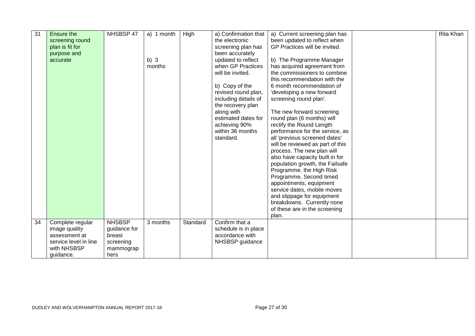| 31 | Ensure the<br>screening round<br>plan is fit for<br>purpose and<br>accurate | NHSBSP 47                                | a) 1 month<br>b) $3$<br>months | High     | a) Confirmation that<br>the electronic<br>screening plan has<br>been accurately<br>updated to reflect<br>when GP Practices<br>will be invited.<br>b) Copy of the<br>revised round plan,<br>including details of<br>the recovery plan<br>along with<br>estimated dates for<br>achieving 90%<br>within 36 months<br>standard. | a) Current screening plan has<br>been updated to reflect when<br>GP Practices will be invited.<br>b) The Programme Manager<br>has acquired agreement from<br>the commissioners to combine<br>this recommendation with the<br>6 month recommendation of<br>'developing a new forward<br>screening round plan'.<br>The new forward screening<br>round plan (6 months) will<br>rectify the Round Length<br>performance for the service, as<br>all 'previous screened dates'<br>will be reviewed as part of this<br>process. The new plan will<br>also have capacity built in for<br>population growth, the Failsafe<br>Programme, the High Risk<br>Programme, Second timed<br>appointments, equipment<br>service dates, mobile moves<br>and slippage for equipment<br>breakdowns. Currently none<br>of these are in the screening | Rita Khan |
|----|-----------------------------------------------------------------------------|------------------------------------------|--------------------------------|----------|-----------------------------------------------------------------------------------------------------------------------------------------------------------------------------------------------------------------------------------------------------------------------------------------------------------------------------|--------------------------------------------------------------------------------------------------------------------------------------------------------------------------------------------------------------------------------------------------------------------------------------------------------------------------------------------------------------------------------------------------------------------------------------------------------------------------------------------------------------------------------------------------------------------------------------------------------------------------------------------------------------------------------------------------------------------------------------------------------------------------------------------------------------------------------|-----------|
| 34 | Complete regular<br>image quality                                           | <b>NHSBSP</b><br>guidance for            | 3 months                       | Standard | Confirm that a<br>schedule is in place                                                                                                                                                                                                                                                                                      | plan.                                                                                                                                                                                                                                                                                                                                                                                                                                                                                                                                                                                                                                                                                                                                                                                                                          |           |
|    | assessment at<br>service level in line<br>with NHSBSP<br>guidance.          | breast<br>screening<br>mammograp<br>hers |                                |          | accordance with<br>NHSBSP guidance                                                                                                                                                                                                                                                                                          |                                                                                                                                                                                                                                                                                                                                                                                                                                                                                                                                                                                                                                                                                                                                                                                                                                |           |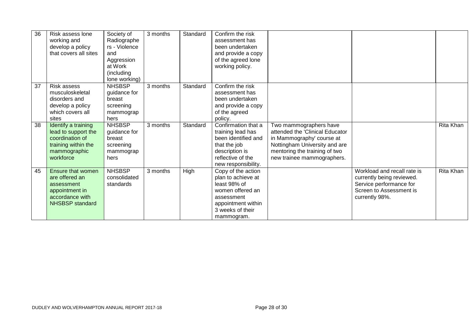| 36 | Risk assess lone<br>working and<br>develop a policy<br>that covers all sites                                      | Society of<br>Radiographe<br>rs - Violence<br>and<br>Aggression<br>at Work<br>(including<br>lone working) | 3 months | Standard | Confirm the risk<br>assessment has<br>been undertaken<br>and provide a copy<br>of the agreed lone<br>working policy.                               |                                                                                                                                                                                        |                                                                                                                                  |           |
|----|-------------------------------------------------------------------------------------------------------------------|-----------------------------------------------------------------------------------------------------------|----------|----------|----------------------------------------------------------------------------------------------------------------------------------------------------|----------------------------------------------------------------------------------------------------------------------------------------------------------------------------------------|----------------------------------------------------------------------------------------------------------------------------------|-----------|
| 37 | Risk assess<br>musculoskeletal<br>disorders and<br>develop a policy<br>which covers all<br>sites                  | <b>NHSBSP</b><br>guidance for<br>breast<br>screening<br>mammograp<br>hers                                 | 3 months | Standard | Confirm the risk<br>assessment has<br>been undertaken<br>and provide a copy<br>of the agreed<br>policy.                                            |                                                                                                                                                                                        |                                                                                                                                  |           |
| 38 | Identify a training<br>lead to support the<br>coordination of<br>training within the<br>mammographic<br>workforce | <b>NHSBSP</b><br>guidance for<br>breast<br>screening<br>mammograp<br>hers                                 | 3 months | Standard | Confirmation that a<br>training lead has<br>been identified and<br>that the job<br>description is<br>reflective of the<br>new responsibility.      | Two mammographers have<br>attended the 'Clinical Educator<br>in Mammography' course at<br>Nottingham University and are<br>mentoring the training of two<br>new trainee mammographers. |                                                                                                                                  | Rita Khan |
| 45 | Ensure that women<br>are offered an<br>assessment<br>appointment in<br>accordance with<br><b>NHSBSP</b> standard  | <b>NHSBSP</b><br>consolidated<br>standards                                                                | 3 months | High     | Copy of the action<br>plan to achieve at<br>least 98% of<br>women offered an<br>assessment<br>appointment within<br>3 weeks of their<br>mammogram. |                                                                                                                                                                                        | Workload and recall rate is<br>currently being reviewed.<br>Service performance for<br>Screen to Assessment is<br>currently 98%. | Rita Khan |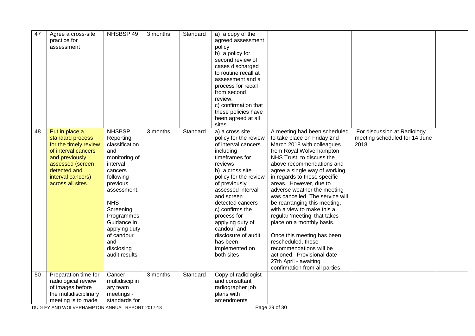| 47 | Agree a cross-site<br>practice for<br>assessment                                                                                                                                   | NHSBSP 49                                                                                                                                                                                                                                                        | 3 months | Standard | a) a copy of the<br>agreed assessment<br>policy<br>b) a policy for<br>second review of<br>cases discharged<br>to routine recall at<br>assessment and a<br>process for recall<br>from second<br>review.<br>c) confirmation that<br>these policies have<br>been agreed at all<br>sites                                                                                  |                                                                                                                                                                                                                                                                                                                                                                                                                                                                                                                                                                                                                                                 |                                                                       |  |
|----|------------------------------------------------------------------------------------------------------------------------------------------------------------------------------------|------------------------------------------------------------------------------------------------------------------------------------------------------------------------------------------------------------------------------------------------------------------|----------|----------|-----------------------------------------------------------------------------------------------------------------------------------------------------------------------------------------------------------------------------------------------------------------------------------------------------------------------------------------------------------------------|-------------------------------------------------------------------------------------------------------------------------------------------------------------------------------------------------------------------------------------------------------------------------------------------------------------------------------------------------------------------------------------------------------------------------------------------------------------------------------------------------------------------------------------------------------------------------------------------------------------------------------------------------|-----------------------------------------------------------------------|--|
| 48 | Put in place a<br>standard process<br>for the timely review<br>of interval cancers<br>and previously<br>assessed (screen<br>detected and<br>interval cancers)<br>across all sites. | <b>NHSBSP</b><br>Reporting<br>classification<br>and<br>monitoring of<br>interval<br>cancers<br>following<br>previous<br>assessment.<br><b>NHS</b><br>Screening<br>Programmes<br>Guidance in<br>applying duty<br>of candour<br>and<br>disclosing<br>audit results | 3 months | Standard | a) a cross site<br>policy for the review<br>of interval cancers<br>including<br>timeframes for<br>reviews<br>b) a cross site<br>policy for the review<br>of previously<br>assessed interval<br>and screen<br>detected cancers<br>c) confirms the<br>process for<br>applying duty of<br>candour and<br>disclosure of audit<br>has been<br>implemented on<br>both sites | A meeting had been scheduled<br>to take place on Friday 2nd<br>March 2018 with colleagues<br>from Royal Wolverhampton<br>NHS Trust, to discuss the<br>above recommendations and<br>agree a single way of working<br>in regards to these specific<br>areas. However, due to<br>adverse weather the meeting<br>was cancelled. The service will<br>be rearranging this meeting,<br>with a view to make this a<br>regular 'meeting' that takes<br>place on a monthly basis.<br>Once this meeting has been<br>rescheduled, these<br>recommendations will be<br>actioned. Provisional date<br>27th April - awaiting<br>confirmation from all parties. | For discussion at Radiology<br>meeting scheduled for 14 June<br>2018. |  |
| 50 | Preparation time for<br>radiological review<br>of images before<br>the multidisciplinary<br>meeting is to made                                                                     | Cancer<br>multidisciplin<br>ary team<br>meetings -<br>standards for                                                                                                                                                                                              | 3 months | Standard | Copy of radiologist<br>and consultant<br>radiographer job<br>plans with<br>amendments                                                                                                                                                                                                                                                                                 |                                                                                                                                                                                                                                                                                                                                                                                                                                                                                                                                                                                                                                                 |                                                                       |  |

DUDLEY AND WOLVERHAMPTON ANNUAL REPORT 2017-18 Page 29 of 30